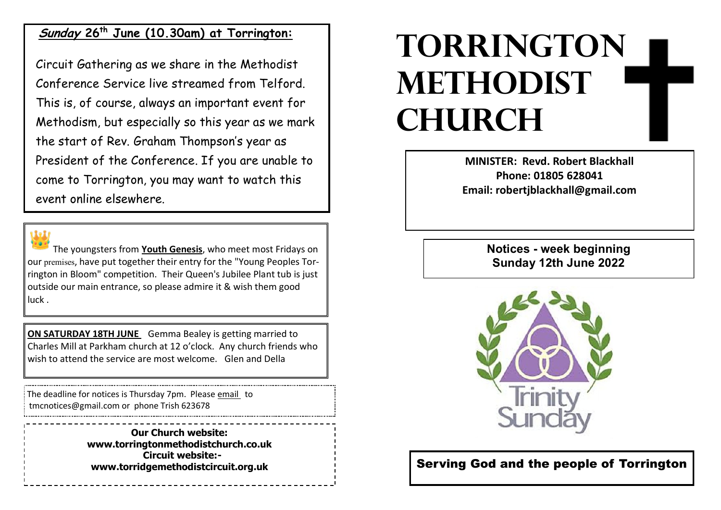## **Sunday 26th June (10.30am) at Torrington:**

Circuit Gathering as we share in the Methodist Conference Service live streamed from Telford. This is, of course, always an important event for Methodism, but especially so this year as we mark the start of Rev. Graham Thompson's year as President of the Conference. If you are unable to come to Torrington, you may want to watch this event online elsewhere.



The youngsters from **Youth Genesis**, who meet most Fridays on our premises, have put together their entry for the "Young Peoples Torrington in Bloom" competition. Their Queen's Jubilee Plant tub is just outside our main entrance, so please admire it & wish them good luck .

**ON SATURDAY 18TH JUNE** Gemma Bealey is getting married to Charles Mill at Parkham church at 12 o'clock. Any church friends who wish to attend the service are most welcome. Glen and Della

The deadline for notices is Thursday 7pm. Please email to tmcnotices@gmail.com or phone Trish 623678

> **Our Church website: www.torringtonmethodistchurch.co.uk Circuit website: www.torridgemethodistcircuit.org.uk**

## **TORRINGTON METHODIST CHURCH**

**MINISTER: Revd. Robert Blackhall Phone: 01805 628041 Email: robertjblackhall@gmail.com**

> **Notices - week beginning Sunday 12th June 2022**



Serving God and the people of Torrington